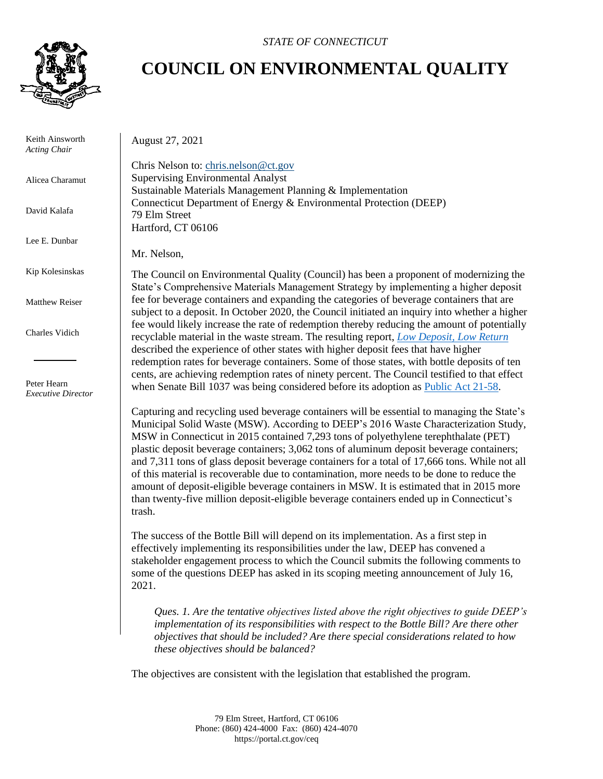

 Keith Ainsworth *Acting Chair*

Alicea Charamut

David Kalafa

Lee E. Dunbar

Kip Kolesinskas

Matthew Reiser

Charles Vidich

 Peter Hearn *Executive Director*

## *STATE OF CONNECTICUT*

## **COUNCIL ON ENVIRONMENTAL QUALITY**

August 27, 2021

Chris Nelson to: [chris.nelson@ct.gov](mailto:chris.nelson@ct.gov) Supervising Environmental Analyst Sustainable Materials Management Planning & Implementation Connecticut Department of Energy & Environmental Protection (DEEP) 79 Elm Street Hartford, CT 06106

Mr. Nelson,

The Council on Environmental Quality (Council) has been a proponent of modernizing the State's Comprehensive Materials Management Strategy by implementing a higher deposit fee for beverage containers and expanding the categories of beverage containers that are subject to a deposit. In October 2020, the Council initiated an inquiry into whether a higher fee would likely increase the rate of redemption thereby reducing the amount of potentially recyclable material in the waste stream. The resulting report, *[Low Deposit, Low Return](https://portal.ct.gov/-/media/CEQ/Publications/2020/Low-Deposit-Low-Return.pdf)* described the experience of other states with higher deposit fees that have higher redemption rates for beverage containers. Some of those states, with bottle deposits of ten cents, are achieving redemption rates of ninety percent. The Council testified to that effect when Senate Bill 1037 was being considered before its adoption as [Public Act 21-58.](https://www.cga.ct.gov/2021/ACT/PA/PDF/2021PA-00058-R00SB-01037-PA.PDF)

Capturing and recycling used beverage containers will be essential to managing the State's Municipal Solid Waste (MSW). According to DEEP's 2016 Waste Characterization Study, MSW in Connecticut in 2015 contained 7,293 tons of polyethylene terephthalate (PET) plastic deposit beverage containers; 3,062 tons of aluminum deposit beverage containers; and 7,311 tons of glass deposit beverage containers for a total of 17,666 tons. While not all of this material is recoverable due to contamination, more needs to be done to reduce the amount of deposit-eligible beverage containers in MSW. It is estimated that in 2015 more than twenty-five million deposit-eligible beverage containers ended up in Connecticut's trash.

The success of the Bottle Bill will depend on its implementation. As a first step in effectively implementing its responsibilities under the law, DEEP has convened a stakeholder engagement process to which the Council submits the following comments to some of the questions DEEP has asked in its scoping meeting announcement of July 16, 2021.

*Ques. 1. Are the tentative objectives listed above the right objectives to guide DEEP's implementation of its responsibilities with respect to the Bottle Bill? Are there other objectives that should be included? Are there special considerations related to how these objectives should be balanced?*

The objectives are consistent with the legislation that established the program.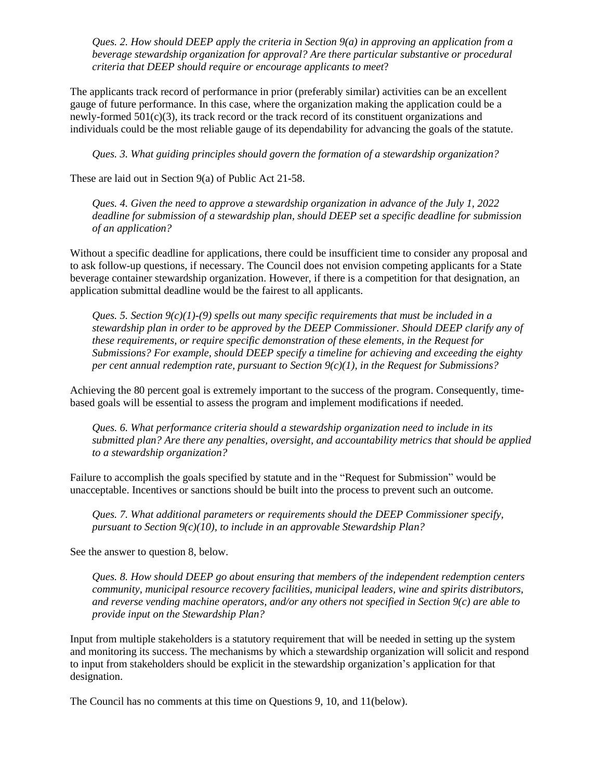*Ques. 2. How should DEEP apply the criteria in Section 9(a) in approving an application from a beverage stewardship organization for approval? Are there particular substantive or procedural criteria that DEEP should require or encourage applicants to meet*?

The applicants track record of performance in prior (preferably similar) activities can be an excellent gauge of future performance. In this case, where the organization making the application could be a newly-formed  $501(c)(3)$ , its track record or the track record of its constituent organizations and individuals could be the most reliable gauge of its dependability for advancing the goals of the statute.

*Ques. 3. What guiding principles should govern the formation of a stewardship organization?*

These are laid out in Section 9(a) of Public Act 21-58.

*Ques. 4. Given the need to approve a stewardship organization in advance of the July 1, 2022 deadline for submission of a stewardship plan, should DEEP set a specific deadline for submission of an application?*

Without a specific deadline for applications, there could be insufficient time to consider any proposal and to ask follow-up questions, if necessary. The Council does not envision competing applicants for a State beverage container stewardship organization. However, if there is a competition for that designation, an application submittal deadline would be the fairest to all applicants.

*Ques. 5. Section 9(c)(1)-(9) spells out many specific requirements that must be included in a stewardship plan in order to be approved by the DEEP Commissioner. Should DEEP clarify any of these requirements, or require specific demonstration of these elements, in the Request for Submissions? For example, should DEEP specify a timeline for achieving and exceeding the eighty per cent annual redemption rate, pursuant to Section 9(c)(1), in the Request for Submissions?*

Achieving the 80 percent goal is extremely important to the success of the program. Consequently, timebased goals will be essential to assess the program and implement modifications if needed.

*Ques. 6. What performance criteria should a stewardship organization need to include in its submitted plan? Are there any penalties, oversight, and accountability metrics that should be applied to a stewardship organization?*

Failure to accomplish the goals specified by statute and in the "Request for Submission" would be unacceptable. Incentives or sanctions should be built into the process to prevent such an outcome.

*Ques. 7. What additional parameters or requirements should the DEEP Commissioner specify, pursuant to Section 9(c)(10), to include in an approvable Stewardship Plan?*

See the answer to question 8, below.

*Ques. 8. How should DEEP go about ensuring that members of the independent redemption centers community, municipal resource recovery facilities, municipal leaders, wine and spirits distributors, and reverse vending machine operators, and/or any others not specified in Section 9(c) are able to provide input on the Stewardship Plan?*

Input from multiple stakeholders is a statutory requirement that will be needed in setting up the system and monitoring its success. The mechanisms by which a stewardship organization will solicit and respond to input from stakeholders should be explicit in the stewardship organization's application for that designation.

The Council has no comments at this time on Questions 9, 10, and 11(below).